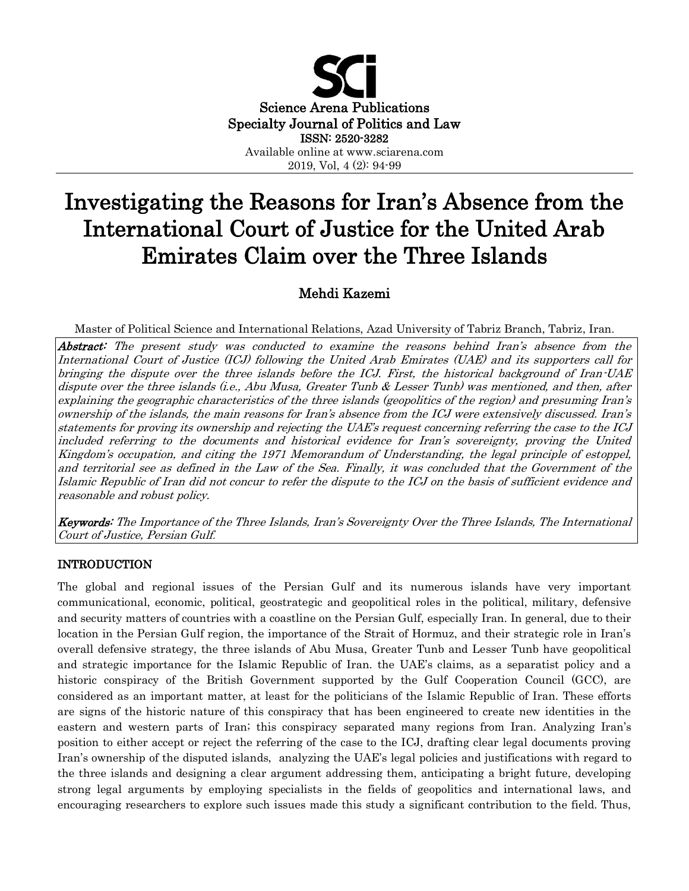

# Investigating the Reasons for Iran's Absence from the International Court of Justice for the United Arab Emirates Claim over the Three Islands

# Mehdi Kazemi

Master of Political Science and International Relations, Azad University of Tabriz Branch, Tabriz, Iran.

Abstract: The present study was conducted to examine the reasons behind Iran's absence from the International Court of Justice (ICJ) following the United Arab Emirates (UAE) and its supporters call for bringing the dispute over the three islands before the ICJ. First, the historical background of Iran-UAE dispute over the three islands (i.e., Abu Musa, Greater Tunb & Lesser Tunb) was mentioned, and then, after explaining the geographic characteristics of the three islands (geopolitics of the region) and presuming Iran's ownership of the islands, the main reasons for Iran's absence from the ICJ were extensively discussed. Iran's statements for proving its ownership and rejecting the UAE's request concerning referring the case to the ICJ included referring to the documents and historical evidence for Iran's sovereignty, proving the United Kingdom's occupation, and citing the 1971 Memorandum of Understanding, the legal principle of estoppel, and territorial see as defined in the Law of the Sea. Finally, it was concluded that the Government of the Islamic Republic of Iran did not concur to refer the dispute to the ICJ on the basis of sufficient evidence and reasonable and robust policy.

Keywords: The Importance of the Three Islands, Iran's Sovereignty Over the Three Islands, The International Court of Justice, Persian Gulf.

# INTRODUCTION

The global and regional issues of the Persian Gulf and its numerous islands have very important communicational, economic, political, geostrategic and geopolitical roles in the political, military, defensive and security matters of countries with a coastline on the Persian Gulf, especially Iran. In general, due to their location in the Persian Gulf region, the importance of the Strait of Hormuz, and their strategic role in Iran's overall defensive strategy, the three islands of Abu Musa, Greater Tunb and Lesser Tunb have geopolitical and strategic importance for the Islamic Republic of Iran. the UAE's claims, as a separatist policy and a historic conspiracy of the British Government supported by the Gulf Cooperation Council (GCC), are considered as an important matter, at least for the politicians of the Islamic Republic of Iran. These efforts are signs of the historic nature of this conspiracy that has been engineered to create new identities in the eastern and western parts of Iran; this conspiracy separated many regions from Iran. Analyzing Iran's position to either accept or reject the referring of the case to the ICJ, drafting clear legal documents proving Iran's ownership of the disputed islands, analyzing the UAE's legal policies and justifications with regard to the three islands and designing a clear argument addressing them, anticipating a bright future, developing strong legal arguments by employing specialists in the fields of geopolitics and international laws, and encouraging researchers to explore such issues made this study a significant contribution to the field. Thus,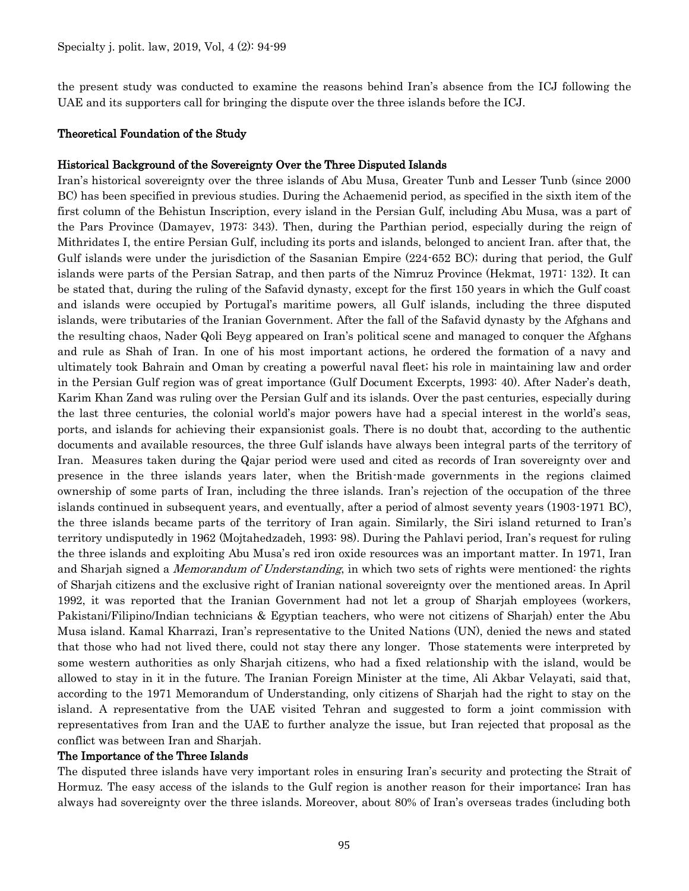the present study was conducted to examine the reasons behind Iran's absence from the ICJ following the UAE and its supporters call for bringing the dispute over the three islands before the ICJ.

#### Theoretical Foundation of the Study

#### Historical Background of the Sovereignty Over the Three Disputed Islands

Iran's historical sovereignty over the three islands of Abu Musa, Greater Tunb and Lesser Tunb (since 2000 BC) has been specified in previous studies. During the Achaemenid period, as specified in the sixth item of the first column of the Behistun Inscription, every island in the Persian Gulf, including Abu Musa, was a part of the Pars Province (Damayev, 1973: 343). Then, during the Parthian period, especially during the reign of Mithridates I, the entire Persian Gulf, including its ports and islands, belonged to ancient Iran. after that, the Gulf islands were under the jurisdiction of the Sasanian Empire (224-652 BC); during that period, the Gulf islands were parts of the Persian Satrap, and then parts of the Nimruz Province (Hekmat, 1971: 132). It can be stated that, during the ruling of the Safavid dynasty, except for the first 150 years in which the Gulf coast and islands were occupied by Portugal's maritime powers, all Gulf islands, including the three disputed islands, were tributaries of the Iranian Government. After the fall of the Safavid dynasty by the Afghans and the resulting chaos, Nader Qoli Beyg appeared on Iran's political scene and managed to conquer the Afghans and rule as Shah of Iran. In one of his most important actions, he ordered the formation of a navy and ultimately took Bahrain and Oman by creating a powerful naval fleet; his role in maintaining law and order in the Persian Gulf region was of great importance (Gulf Document Excerpts, 1993: 40). After Nader's death, Karim Khan Zand was ruling over the Persian Gulf and its islands. Over the past centuries, especially during the last three centuries, the colonial world's major powers have had a special interest in the world's seas, ports, and islands for achieving their expansionist goals. There is no doubt that, according to the authentic documents and available resources, the three Gulf islands have always been integral parts of the territory of Iran. Measures taken during the Qajar period were used and cited as records of Iran sovereignty over and presence in the three islands years later, when the British-made governments in the regions claimed ownership of some parts of Iran, including the three islands. Iran's rejection of the occupation of the three islands continued in subsequent years, and eventually, after a period of almost seventy years (1903-1971 BC), the three islands became parts of the territory of Iran again. Similarly, the Siri island returned to Iran's territory undisputedly in 1962 (Mojtahedzadeh, 1993: 98). During the Pahlavi period, Iran's request for ruling the three islands and exploiting Abu Musa's red iron oxide resources was an important matter. In 1971, Iran and Sharjah signed a *Memorandum of Understanding*, in which two sets of rights were mentioned: the rights of Sharjah citizens and the exclusive right of Iranian national sovereignty over the mentioned areas. In April 1992, it was reported that the Iranian Government had not let a group of Sharjah employees (workers, Pakistani/Filipino/Indian technicians & Egyptian teachers, who were not citizens of Sharjah) enter the Abu Musa island. Kamal Kharrazi, Iran's representative to the United Nations (UN), denied the news and stated that those who had not lived there, could not stay there any longer. Those statements were interpreted by some western authorities as only Sharjah citizens, who had a fixed relationship with the island, would be allowed to stay in it in the future. The Iranian Foreign Minister at the time, Ali Akbar Velayati, said that, according to the 1971 Memorandum of Understanding, only citizens of Sharjah had the right to stay on the island. A representative from the UAE visited Tehran and suggested to form a joint commission with representatives from Iran and the UAE to further analyze the issue, but Iran rejected that proposal as the conflict was between Iran and Sharjah.

#### The Importance of the Three Islands

The disputed three islands have very important roles in ensuring Iran's security and protecting the Strait of Hormuz. The easy access of the islands to the Gulf region is another reason for their importance; Iran has always had sovereignty over the three islands. Moreover, about 80% of Iran's overseas trades (including both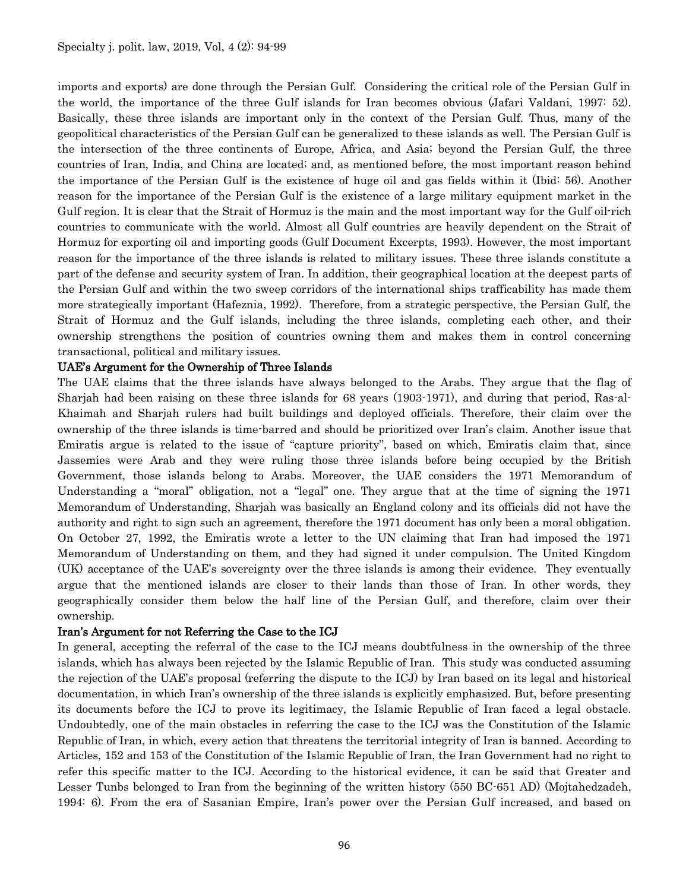imports and exports) are done through the Persian Gulf. Considering the critical role of the Persian Gulf in the world, the importance of the three Gulf islands for Iran becomes obvious (Jafari Valdani, 1997: 52). Basically, these three islands are important only in the context of the Persian Gulf. Thus, many of the geopolitical characteristics of the Persian Gulf can be generalized to these islands as well. The Persian Gulf is the intersection of the three continents of Europe, Africa, and Asia; beyond the Persian Gulf, the three countries of Iran, India, and China are located; and, as mentioned before, the most important reason behind the importance of the Persian Gulf is the existence of huge oil and gas fields within it (Ibid: 56). Another reason for the importance of the Persian Gulf is the existence of a large military equipment market in the Gulf region. It is clear that the Strait of Hormuz is the main and the most important way for the Gulf oil-rich countries to communicate with the world. Almost all Gulf countries are heavily dependent on the Strait of Hormuz for exporting oil and importing goods (Gulf Document Excerpts, 1993). However, the most important reason for the importance of the three islands is related to military issues. These three islands constitute a part of the defense and security system of Iran. In addition, their geographical location at the deepest parts of the Persian Gulf and within the two sweep corridors of the international ships trafficability has made them more strategically important (Hafeznia, 1992). Therefore, from a strategic perspective, the Persian Gulf, the Strait of Hormuz and the Gulf islands, including the three islands, completing each other, and their ownership strengthens the position of countries owning them and makes them in control concerning transactional, political and military issues.

#### UAE's Argument for the Ownership of Three Islands

The UAE claims that the three islands have always belonged to the Arabs. They argue that the flag of Sharjah had been raising on these three islands for 68 years (1903-1971), and during that period, Ras-al-Khaimah and Sharjah rulers had built buildings and deployed officials. Therefore, their claim over the ownership of the three islands is time-barred and should be prioritized over Iran's claim. Another issue that Emiratis argue is related to the issue of "capture priority", based on which, Emiratis claim that, since Jassemies were Arab and they were ruling those three islands before being occupied by the British Government, those islands belong to Arabs. Moreover, the UAE considers the 1971 Memorandum of Understanding a "moral" obligation, not a "legal" one. They argue that at the time of signing the 1971 Memorandum of Understanding, Sharjah was basically an England colony and its officials did not have the authority and right to sign such an agreement, therefore the 1971 document has only been a moral obligation. On October 27, 1992, the Emiratis wrote a letter to the UN claiming that Iran had imposed the 1971 Memorandum of Understanding on them, and they had signed it under compulsion. The United Kingdom (UK) acceptance of the UAE's sovereignty over the three islands is among their evidence. They eventually argue that the mentioned islands are closer to their lands than those of Iran. In other words, they geographically consider them below the half line of the Persian Gulf, and therefore, claim over their ownership.

#### Iran's Argument for not Referring the Case to the ICJ

In general, accepting the referral of the case to the ICJ means doubtfulness in the ownership of the three islands, which has always been rejected by the Islamic Republic of Iran. This study was conducted assuming the rejection of the UAE's proposal (referring the dispute to the ICJ) by Iran based on its legal and historical documentation, in which Iran's ownership of the three islands is explicitly emphasized. But, before presenting its documents before the ICJ to prove its legitimacy, the Islamic Republic of Iran faced a legal obstacle. Undoubtedly, one of the main obstacles in referring the case to the ICJ was the Constitution of the Islamic Republic of Iran, in which, every action that threatens the territorial integrity of Iran is banned. According to Articles, 152 and 153 of the Constitution of the Islamic Republic of Iran, the Iran Government had no right to refer this specific matter to the ICJ. According to the historical evidence, it can be said that Greater and Lesser Tunbs belonged to Iran from the beginning of the written history (550 BC-651 AD) (Mojtahedzadeh, 1994: 6). From the era of Sasanian Empire, Iran's power over the Persian Gulf increased, and based on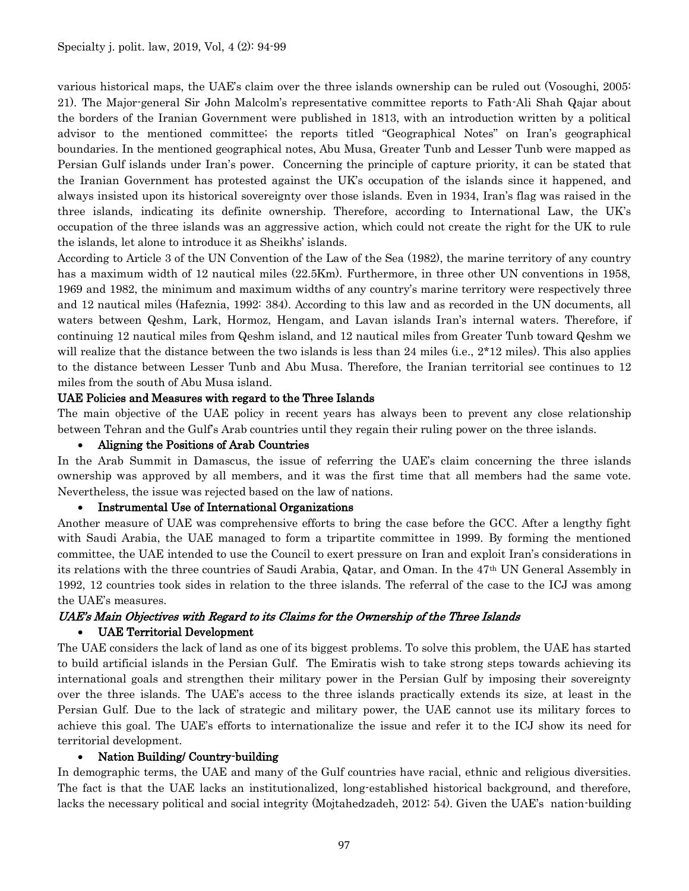various historical maps, the UAE's claim over the three islands ownership can be ruled out (Vosoughi, 2005: 21). The Major-general Sir John Malcolm's representative committee reports to Fath-Ali Shah Qajar about the borders of the Iranian Government were published in 1813, with an introduction written by a political advisor to the mentioned committee; the reports titled "Geographical Notes" on Iran's geographical boundaries. In the mentioned geographical notes, Abu Musa, Greater Tunb and Lesser Tunb were mapped as Persian Gulf islands under Iran's power. Concerning the principle of capture priority, it can be stated that the Iranian Government has protested against the UK's occupation of the islands since it happened, and always insisted upon its historical sovereignty over those islands. Even in 1934, Iran's flag was raised in the three islands, indicating its definite ownership. Therefore, according to International Law, the UK's occupation of the three islands was an aggressive action, which could not create the right for the UK to rule the islands, let alone to introduce it as Sheikhs' islands.

According to Article 3 of the UN Convention of the Law of the Sea (1982), the marine territory of any country has a maximum width of 12 nautical miles (22.5Km). Furthermore, in three other UN conventions in 1958, 1969 and 1982, the minimum and maximum widths of any country's marine territory were respectively three and 12 nautical miles (Hafeznia, 1992: 384). According to this law and as recorded in the UN documents, all waters between Qeshm, Lark, Hormoz, Hengam, and Lavan islands Iran's internal waters. Therefore, if continuing 12 nautical miles from Qeshm island, and 12 nautical miles from Greater Tunb toward Qeshm we will realize that the distance between the two islands is less than 24 miles (i.e.,  $2*12$  miles). This also applies to the distance between Lesser Tunb and Abu Musa. Therefore, the Iranian territorial see continues to 12 miles from the south of Abu Musa island.

#### UAE Policies and Measures with regard to the Three Islands

The main objective of the UAE policy in recent years has always been to prevent any close relationship between Tehran and the Gulf's Arab countries until they regain their ruling power on the three islands.

#### Aligning the Positions of Arab Countries

In the Arab Summit in Damascus, the issue of referring the UAE's claim concerning the three islands ownership was approved by all members, and it was the first time that all members had the same vote. Nevertheless, the issue was rejected based on the law of nations.

#### Instrumental Use of International Organizations

Another measure of UAE was comprehensive efforts to bring the case before the GCC. After a lengthy fight with Saudi Arabia, the UAE managed to form a tripartite committee in 1999. By forming the mentioned committee, the UAE intended to use the Council to exert pressure on Iran and exploit Iran's considerations in its relations with the three countries of Saudi Arabia, Qatar, and Oman. In the 47th UN General Assembly in 1992, 12 countries took sides in relation to the three islands. The referral of the case to the ICJ was among the UAE's measures.

# UAE's Main Objectives with Regard to its Claims for the Ownership of the Three Islands UAE Territorial Development

The UAE considers the lack of land as one of its biggest problems. To solve this problem, the UAE has started to build artificial islands in the Persian Gulf. The Emiratis wish to take strong steps towards achieving its international goals and strengthen their military power in the Persian Gulf by imposing their sovereignty over the three islands. The UAE's access to the three islands practically extends its size, at least in the Persian Gulf. Due to the lack of strategic and military power, the UAE cannot use its military forces to achieve this goal. The UAE's efforts to internationalize the issue and refer it to the ICJ show its need for territorial development.

#### • Nation Building/ Country-building

In demographic terms, the UAE and many of the Gulf countries have racial, ethnic and religious diversities. The fact is that the UAE lacks an institutionalized, long-established historical background, and therefore, lacks the necessary political and social integrity (Mojtahedzadeh, 2012: 54). Given the UAE's nation-building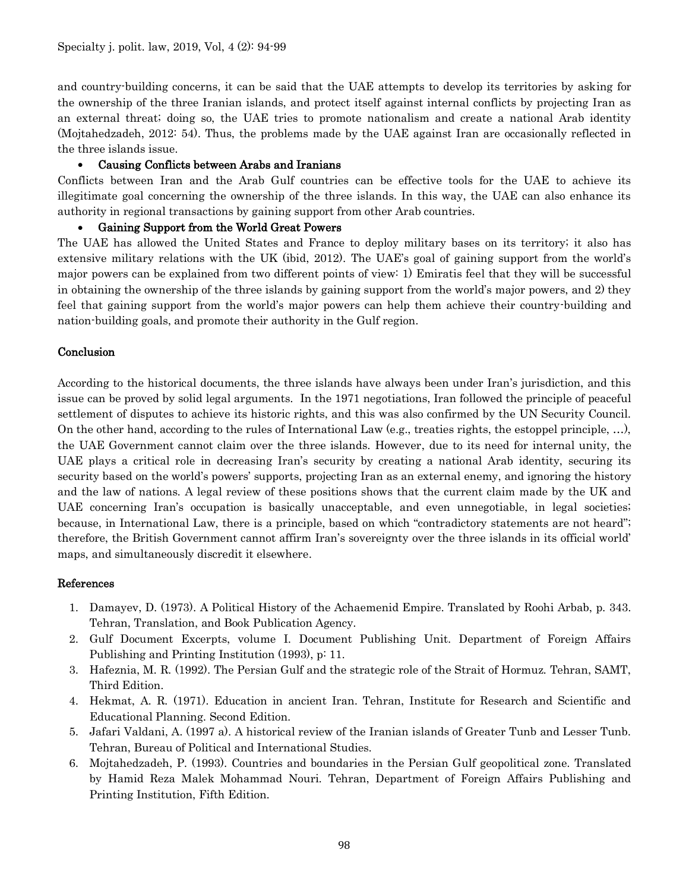and country-building concerns, it can be said that the UAE attempts to develop its territories by asking for the ownership of the three Iranian islands, and protect itself against internal conflicts by projecting Iran as an external threat; doing so, the UAE tries to promote nationalism and create a national Arab identity (Mojtahedzadeh, 2012: 54). Thus, the problems made by the UAE against Iran are occasionally reflected in the three islands issue.

# Causing Conflicts between Arabs and Iranians

Conflicts between Iran and the Arab Gulf countries can be effective tools for the UAE to achieve its illegitimate goal concerning the ownership of the three islands. In this way, the UAE can also enhance its authority in regional transactions by gaining support from other Arab countries.

## Gaining Support from the World Great Powers

The UAE has allowed the United States and France to deploy military bases on its territory; it also has extensive military relations with the UK (ibid, 2012). The UAE's goal of gaining support from the world's major powers can be explained from two different points of view: 1) Emiratis feel that they will be successful in obtaining the ownership of the three islands by gaining support from the world's major powers, and 2) they feel that gaining support from the world's major powers can help them achieve their country-building and nation-building goals, and promote their authority in the Gulf region.

# Conclusion

According to the historical documents, the three islands have always been under Iran's jurisdiction, and this issue can be proved by solid legal arguments. In the 1971 negotiations, Iran followed the principle of peaceful settlement of disputes to achieve its historic rights, and this was also confirmed by the UN Security Council. On the other hand, according to the rules of International Law (e.g., treaties rights, the estoppel principle, …), the UAE Government cannot claim over the three islands. However, due to its need for internal unity, the UAE plays a critical role in decreasing Iran's security by creating a national Arab identity, securing its security based on the world's powers' supports, projecting Iran as an external enemy, and ignoring the history and the law of nations. A legal review of these positions shows that the current claim made by the UK and UAE concerning Iran's occupation is basically unacceptable, and even unnegotiable, in legal societies; because, in International Law, there is a principle, based on which "contradictory statements are not heard"; therefore, the British Government cannot affirm Iran's sovereignty over the three islands in its official world' maps, and simultaneously discredit it elsewhere.

## References

- 1. Damayev, D. (1973). A Political History of the Achaemenid Empire. Translated by Roohi Arbab, p. 343. Tehran, Translation, and Book Publication Agency.
- 2. Gulf Document Excerpts, volume I. Document Publishing Unit. Department of Foreign Affairs Publishing and Printing Institution (1993), p: 11.
- 3. Hafeznia, M. R. (1992). The Persian Gulf and the strategic role of the Strait of Hormuz. Tehran, SAMT, Third Edition.
- 4. Hekmat, A. R. (1971). Education in ancient Iran. Tehran, Institute for Research and Scientific and Educational Planning. Second Edition.
- 5. Jafari Valdani, A. (1997 a). A historical review of the Iranian islands of Greater Tunb and Lesser Tunb. Tehran, Bureau of Political and International Studies.
- 6. Mojtahedzadeh, P. (1993). Countries and boundaries in the Persian Gulf geopolitical zone. Translated by Hamid Reza Malek Mohammad Nouri. Tehran, Department of Foreign Affairs Publishing and Printing Institution, Fifth Edition.